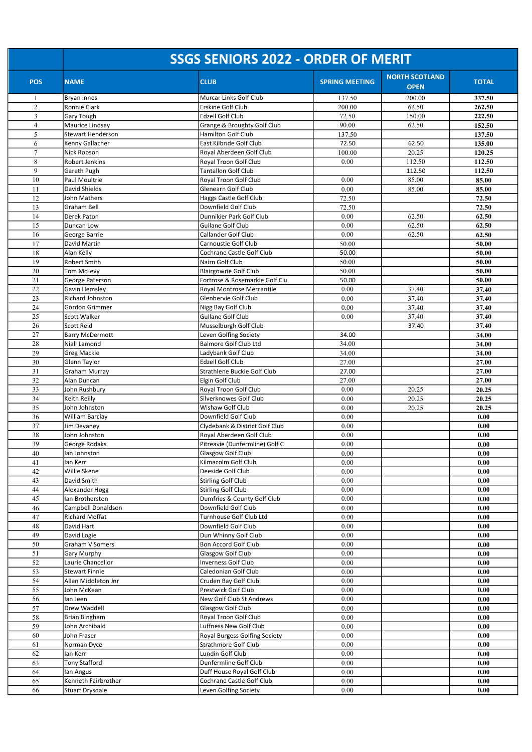|                | <b>SSGS SENIORS 2022 - ORDER OF MERIT</b> |                                                   |                       |                                      |              |  |  |
|----------------|-------------------------------------------|---------------------------------------------------|-----------------------|--------------------------------------|--------------|--|--|
| <b>POS</b>     | <b>NAME</b>                               | <b>CLUB</b>                                       | <b>SPRING MEETING</b> | <b>NORTH SCOTLAND</b><br><b>OPEN</b> | <b>TOTAL</b> |  |  |
| -1             | <b>Bryan Innes</b>                        | Murcar Links Golf Club                            | 137.50                | 200.00                               | 337.50       |  |  |
| $\overline{2}$ | Ronnie Clark                              | Erskine Golf Club                                 | 200.00                | 62.50                                | 262.50       |  |  |
| 3              | Gary Tough                                | <b>Edzell Golf Club</b>                           | 72.50                 | 150.00                               | 222.50       |  |  |
| $\overline{4}$ | Maurice Lindsay                           | Grange & Broughty Golf Club                       | 90.00                 | 62.50                                | 152.50       |  |  |
| 5              | <b>Stewart Henderson</b>                  | Hamilton Golf Club                                | 137.50                |                                      | 137.50       |  |  |
| 6              | Kenny Gallacher                           | East Kilbride Golf Club                           | 72.50                 | 62.50                                | 135.00       |  |  |
| $\tau$         | Nick Robson                               | Royal Aberdeen Golf Club                          | 100.00                | 20.25                                | 120.25       |  |  |
| 8              | Robert Jenkins                            | Royal Troon Golf Club                             | 0.00                  | 112.50                               | 112.50       |  |  |
| 9              | Gareth Pugh                               | <b>Tantallon Golf Club</b>                        |                       | 112.50                               | 112.50       |  |  |
| 10             | Paul Moultrie                             | Royal Troon Golf Club                             | 0.00                  | 85.00                                | 85.00        |  |  |
| 11             | David Shields                             | Glenearn Golf Club                                | 0.00                  | 85.00                                | 85.00        |  |  |
| 12             | John Mathers                              | Haggs Castle Golf Club                            | 72.50                 |                                      | 72.50        |  |  |
| 13             | Graham Bell                               | Downfield Golf Club                               | 72.50                 |                                      | 72.50        |  |  |
| 14             | Derek Paton                               | Dunnikier Park Golf Club                          | 0.00                  | 62.50                                | 62.50        |  |  |
| 15             | Duncan Low                                | <b>Gullane Golf Club</b>                          | 0.00                  | 62.50                                | 62.50        |  |  |
| 16             | George Barrie                             | Callander Golf Club                               | 0.00                  | 62.50                                | 62.50        |  |  |
| 17             | David Martin                              | Carnoustie Golf Club                              | 50.00                 |                                      | 50.00        |  |  |
| 18             | Alan Kelly                                | Cochrane Castle Golf Club                         | 50.00                 |                                      | 50.00        |  |  |
| 19             | Robert Smith                              | Nairn Golf Club                                   | 50.00                 |                                      | 50.00        |  |  |
| 20             | <b>Tom McLevy</b>                         | <b>Blairgowrie Golf Club</b>                      | 50.00                 |                                      | 50.00        |  |  |
| 21             | George Paterson                           | Fortrose & Rosemarkie Golf Clu                    | 50.00                 |                                      | 50.00        |  |  |
| 22             | Gavin Hemsley                             | Royal Montrose Mercantile                         | 0.00                  | 37.40                                | 37.40        |  |  |
| 23             | Richard Johnston                          | Glenbervie Golf Club                              | 0.00                  | 37.40                                | 37.40        |  |  |
| $24\,$         | Gordon Grimmer                            | Nigg Bay Golf Club                                | 0.00                  | 37.40                                | 37.40        |  |  |
| 25             | Scott Walker                              | Gullane Golf Club                                 | 0.00                  | 37.40                                | 37.40        |  |  |
| 26             | Scott Reid                                | Musselburgh Golf Club                             |                       | 37.40                                | 37.40        |  |  |
| 27             | <b>Barry McDermott</b>                    | Leven Golfing Society                             | 34.00                 |                                      | 34.00        |  |  |
| 28             | Niall Lamond                              | <b>Balmore Golf Club Ltd</b>                      | 34.00                 |                                      | 34.00        |  |  |
| 29             | Greg Mackie                               | Ladybank Golf Club                                | 34.00                 |                                      | 34.00        |  |  |
| 30             | Glenn Taylor                              | Edzell Golf Club                                  | 27.00                 |                                      | 27.00        |  |  |
| 31             | Graham Murray                             | <b>Strathlene Buckie Golf Club</b>                | 27.00                 |                                      | 27.00        |  |  |
| 32             | Alan Duncan                               | Elgin Golf Club                                   | 27.00                 |                                      | 27.00        |  |  |
| 33             | John Rushbury                             | Royal Troon Golf Club                             | 0.00                  | 20.25                                | 20.25        |  |  |
| 34             | Keith Reilly                              | Silverknowes Golf Club                            | 0.00                  | 20.25                                | 20.25        |  |  |
| 35             | John Johnston                             | Wishaw Golf Club                                  | 0.00                  | 20.25                                | 20.25        |  |  |
| 36             | William Barclay                           | Downfield Golf Club                               | 0.00                  |                                      | 0.00         |  |  |
| 37             | Jim Devaney                               | Clydebank & District Golf Club                    | $0.00\,$              |                                      | 0.00         |  |  |
| 38             | John Johnston                             | Royal Aberdeen Golf Club                          | 0.00                  |                                      | 0.00         |  |  |
| 39             | George Rodaks                             | Pitreavie (Dunfermline) Golf C                    | 0.00                  |                                      | 0.00         |  |  |
| 40             | lan Johnston                              | Glasgow Golf Club                                 | 0.00<br>0.00          |                                      | 0.00         |  |  |
| 41             | lan Kerr                                  | Kilmacolm Golf Club<br>Deeside Golf Club          |                       |                                      | 0.00         |  |  |
| $42\,$         | Willie Skene<br>David Smith               |                                                   | 0.00<br>0.00          |                                      | 0.00         |  |  |
| 43             |                                           | <b>Stirling Golf Club</b>                         |                       |                                      | 0.00         |  |  |
| 44<br>45       | Alexander Hogg<br>lan Brotherston         | Stirling Golf Club<br>Dumfries & County Golf Club | 0.00<br>0.00          |                                      | 0.00         |  |  |
| $46\,$         | Campbell Donaldson                        | Downfield Golf Club                               | 0.00                  |                                      | 0.00<br>0.00 |  |  |
| 47             | Richard Moffat                            | Turnhouse Golf Club Ltd                           | 0.00                  |                                      | 0.00         |  |  |
| 48             | David Hart                                | Downfield Golf Club                               | 0.00                  |                                      | 0.00         |  |  |
| 49             | David Logie                               | Dun Whinny Golf Club                              | 0.00                  |                                      | 0.00         |  |  |
| 50             | Graham V Somers                           | Bon Accord Golf Club                              | 0.00                  |                                      | 0.00         |  |  |
| 51             | Gary Murphy                               | Glasgow Golf Club                                 | 0.00                  |                                      | 0.00         |  |  |
| 52             | Laurie Chancellor                         | Inverness Golf Club                               | 0.00                  |                                      | 0.00         |  |  |
| 53             | <b>Stewart Finnie</b>                     | Caledonian Golf Club                              | 0.00                  |                                      | 0.00         |  |  |
| 54             | Allan Middleton Jnr                       | Cruden Bay Golf Club                              | 0.00                  |                                      | 0.00         |  |  |
| 55             | John McKean                               | Prestwick Golf Club                               | 0.00                  |                                      | 0.00         |  |  |
| 56             | lan Jeen                                  | New Golf Club St Andrews                          | 0.00                  |                                      | 0.00         |  |  |
| 57             | Drew Waddell                              | Glasgow Golf Club                                 | 0.00                  |                                      | 0.00         |  |  |
| 58             | <b>Brian Bingham</b>                      | Royal Troon Golf Club                             | 0.00                  |                                      | 0.00         |  |  |
| 59             | John Archibald                            | Luffness New Golf Club                            | $0.00\,$              |                                      | 0.00         |  |  |
| 60             | John Fraser                               | Royal Burgess Golfing Society                     | 0.00                  |                                      | 0.00         |  |  |
| 61             | Norman Dyce                               | Strathmore Golf Club                              | 0.00                  |                                      | 0.00         |  |  |
| 62             | lan Kerr                                  | Lundin Golf Club                                  | 0.00                  |                                      | 0.00         |  |  |
| 63             | Tony Stafford                             | Dunfermline Golf Club                             | 0.00                  |                                      | 0.00         |  |  |
| 64             | lan Angus                                 | Duff House Royal Golf Club                        | 0.00                  |                                      | 0.00         |  |  |
| 65             | Kenneth Fairbrother                       | Cochrane Castle Golf Club                         | 0.00                  |                                      | 0.00         |  |  |
| 66             | <b>Stuart Drysdale</b>                    | Leven Golfing Society                             | 0.00                  |                                      | 0.00         |  |  |
|                |                                           |                                                   |                       |                                      |              |  |  |